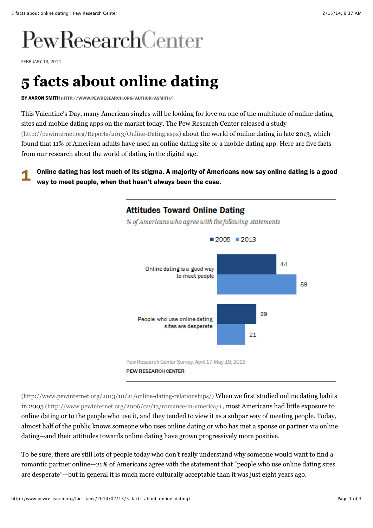# PewResearchCenter

FEBRUARY 13, 2014

## **5 facts about online dating**

BY [AARON SMITH \(HTTP://WWW.PEWRESEARCH.ORG/AUTHOR/ASMITH/\)](http://www.pewresearch.org/author/asmith/)

This Valentine's Day, many American singles will be looking for love on one of the multitude of online dating sites and mobile dating apps on the market today. The Pew Research Center released a study [\(http://pewinternet.org/Reports/2013/Online-Dating.aspx\) about the world of online dating in la](http://pewinternet.org/Reports/2013/Online-Dating.aspx)te 2013, which found that 11% of American adults have used an online dating site or a mobile dating app. Here are five facts from our research about the world of dating in the digital age.

1 Online dating has lost much of its stigma. A majority of Americans now say online dating is a good way to meet people, when that hasn't always been the case.

## **Attitudes Toward Online Dating** % of Americans who agree with the following statements  $2005$  2013 44 Online dating is a good way to meet people 59 29 People who use online dating sites are desperate 21 Pew Research Center Survey, April 17-May 19, 2013

**PEW RESEARCH CENTER** 

[\(http://www.pewinternet.org/2013/10/21/online-dating-relationships/\) When we first studied online dating habits](http://www.pewinternet.org/2013/10/21/online-dating-relationships/) in 2005 (http://www.pewinternet.org/2006/02/13/romance-in-america/) , most Americans had little exposure to online dating or to the people who use it, and they tended to view it as a subpar way of meeting people. Today, almost half of the public knows someone who uses online dating or who has met a spouse or partner via online dating—and their attitudes towards online dating have grown progressively more positive.

To be sure, there are still lots of people today who don't really understand why someone would want to find a romantic partner online—21% of Americans agree with the statement that "people who use online dating sites are desperate"—but in general it is much more culturally acceptable than it was just eight years ago.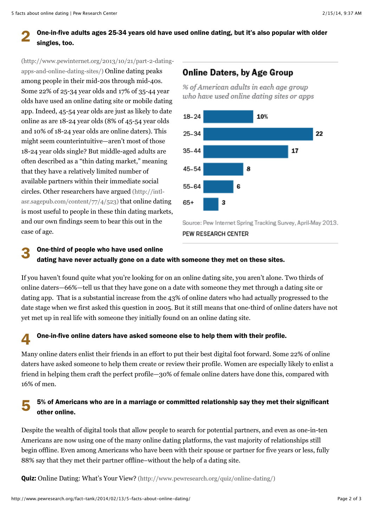#### 2 One-in-five adults ages 25-34 years old have used online dating, but it's also popular with older singles, too.

(http://www.pewinternet.org/2013/10/21/part-2-datingapps-and-online-dating-sites/) Online dating peaks among people in their mid-20s through mid-40s. Some 22% of 25-34 year olds and 17% of 35-44 year olds have used an online dating site or mobile dating app. Indeed, 45-54 year olds are just as likely to date online as are 18-24 year olds (8% of 45-54 year olds and 10% of 18-24 year olds are online daters). This might seem counterintuitive—aren't most of those 18-24 year olds single? But middle-aged adults are often described as a "thin dating market," meaning that they have a relatively limited number of available partners within their immediate social circles. Other researchers have argued (http://intl[asr.sagepub.com/content/77/4/523\) that online datin](http://intl-asr.sagepub.com/content/77/4/523)g [is most useful to people in these thin dating markets,](http://www.pewinternet.org/2013/10/21/part-2-dating-apps-and-online-dating-sites/) and our own findings seem to bear this out in the case of age.

### **Online Daters, by Age Group**

% of American adults in each age group who have used online dating sites or apps



Source: Pew Internet Spring Tracking Survey, April-May 2013.

#### PEW RESEARCH CENTER

#### 3 One-third of people who have used online dating have never actually gone on a date with someone they met on these sites.

If you haven't found quite what you're looking for on an online dating site, you aren't alone. Two thirds of online daters—66%—tell us that they have gone on a date with someone they met through a dating site or dating app. That is a substantial increase from the 43% of online daters who had actually progressed to the date stage when we first asked this question in 2005. But it still means that one-third of online daters have not yet met up in real life with someone they initially found on an online dating site.

#### $\sqrt{2}$ One-in-five online daters have asked someone else to help them with their profile.

Many online daters enlist their friends in an effort to put their best digital foot forward. Some 22% of online daters have asked someone to help them create or review their profile. Women are especially likely to enlist a friend in helping them craft the perfect profile—30% of female online daters have done this, compared with 16% of men.

#### 5 5% of Americans who are in a marriage or committed relationship say they met their significant other online.

Despite the wealth of digital tools that allow people to search for potential partners, and even as one-in-ten Americans are now using one of the many online dating platforms, the vast majority of relationships still begin offline. Even among Americans who have been with their spouse or partner for five years or less, fully 88% say that they met their partner offline–without the help of a dating site.

**Quiz:** [Online Dating: What's Your View? \(http://www.pewresearch.org/quiz/online-dating/\)](http://www.pewresearch.org/quiz/online-dating/)